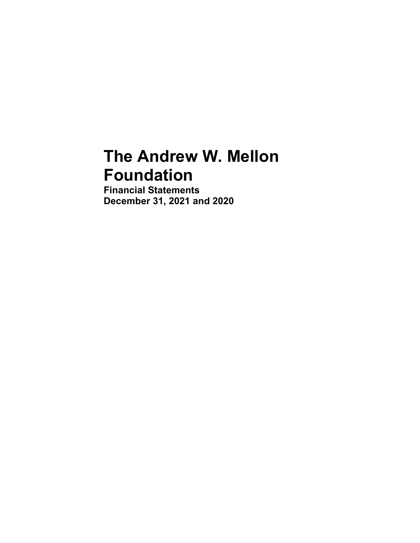# **The Andrew W. Mellon Foundation**

**Financial Statements December 31, 2021 and 2020**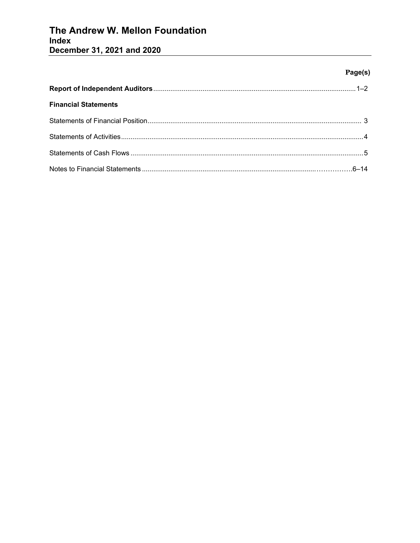# The Andrew W. Mellon Foundation Index December 31, 2021 and 2020

# Page(s)

| <b>Financial Statements</b> |  |
|-----------------------------|--|
|                             |  |
|                             |  |
|                             |  |
|                             |  |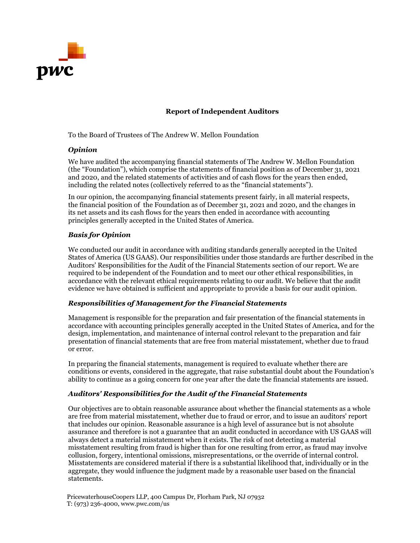

# **Report of Independent Auditors**

To the Board of Trustees of The Andrew W. Mellon Foundation

#### *Opinion*

We have audited the accompanying financial statements of The Andrew W. Mellon Foundation (the "Foundation"), which comprise the statements of financial position as of December 31, 2021 and 2020, and the related statements of activities and of cash flows for the years then ended, including the related notes (collectively referred to as the "financial statements").

In our opinion, the accompanying financial statements present fairly, in all material respects, the financial position of the Foundation as of December 31, 2021 and 2020, and the changes in its net assets and its cash flows for the years then ended in accordance with accounting principles generally accepted in the United States of America.

# *Basis for Opinion*

We conducted our audit in accordance with auditing standards generally accepted in the United States of America (US GAAS). Our responsibilities under those standards are further described in the Auditors' Responsibilities for the Audit of the Financial Statements section of our report. We are required to be independent of the Foundation and to meet our other ethical responsibilities, in accordance with the relevant ethical requirements relating to our audit. We believe that the audit evidence we have obtained is sufficient and appropriate to provide a basis for our audit opinion.

#### *Responsibilities of Management for the Financial Statements*

Management is responsible for the preparation and fair presentation of the financial statements in accordance with accounting principles generally accepted in the United States of America, and for the design, implementation, and maintenance of internal control relevant to the preparation and fair presentation of financial statements that are free from material misstatement, whether due to fraud or error.

In preparing the financial statements, management is required to evaluate whether there are conditions or events, considered in the aggregate, that raise substantial doubt about the Foundation's ability to continue as a going concern for one year after the date the financial statements are issued.

# *Auditors' Responsibilities for the Audit of the Financial Statements*

Our objectives are to obtain reasonable assurance about whether the financial statements as a whole are free from material misstatement, whether due to fraud or error, and to issue an auditors' report that includes our opinion. Reasonable assurance is a high level of assurance but is not absolute assurance and therefore is not a guarantee that an audit conducted in accordance with US GAAS will always detect a material misstatement when it exists. The risk of not detecting a material misstatement resulting from fraud is higher than for one resulting from error, as fraud may involve collusion, forgery, intentional omissions, misrepresentations, or the override of internal control. Misstatements are considered material if there is a substantial likelihood that, individually or in the aggregate, they would influence the judgment made by a reasonable user based on the financial statements.

PricewaterhouseCoopers LLP, 400 Campus Dr, Florham Park, NJ 07932 T: (973) 236-4000, [www.pwc.com/us](http://www.pwc.com/us)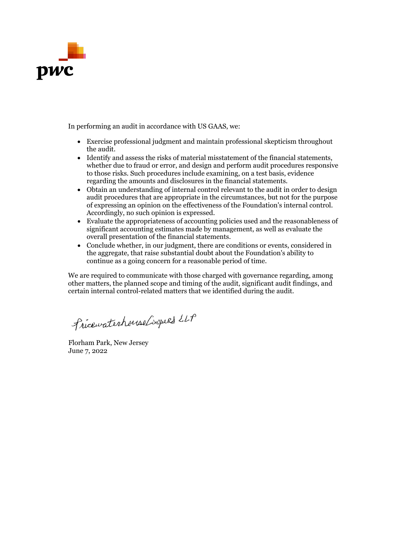

In performing an audit in accordance with US GAAS, we:

- Exercise professional judgment and maintain professional skepticism throughout the audit.
- Identify and assess the risks of material misstatement of the financial statements, whether due to fraud or error, and design and perform audit procedures responsive to those risks. Such procedures include examining, on a test basis, evidence regarding the amounts and disclosures in the financial statements.
- Obtain an understanding of internal control relevant to the audit in order to design audit procedures that are appropriate in the circumstances, but not for the purpose of expressing an opinion on the effectiveness of the Foundation's internal control. Accordingly, no such opinion is expressed.
- Evaluate the appropriateness of accounting policies used and the reasonableness of significant accounting estimates made by management, as well as evaluate the overall presentation of the financial statements.
- Conclude whether, in our judgment, there are conditions or events, considered in the aggregate, that raise substantial doubt about the Foundation's ability to continue as a going concern for a reasonable period of time.

We are required to communicate with those charged with governance regarding, among other matters, the planned scope and timing of the audit, significant audit findings, and certain internal control-related matters that we identified during the audit.

Pricewaterhouse Coopers LLP

Florham Park, New Jersey June 7, 2022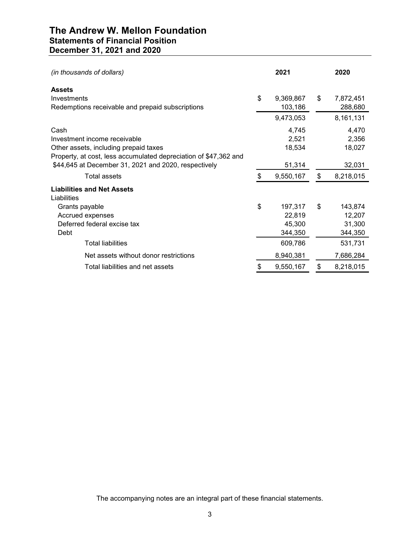# **The Andrew W. Mellon Foundation Statements of Financial Position December 31, 2021 and 2020**

| (in thousands of dollars)                                                                                                                         |    | 2021                                   | 2020                                         |
|---------------------------------------------------------------------------------------------------------------------------------------------------|----|----------------------------------------|----------------------------------------------|
| <b>Assets</b><br>Investments<br>Redemptions receivable and prepaid subscriptions                                                                  | \$ | 9,369,867<br>103,186                   | \$<br>7,872,451<br>288,680                   |
|                                                                                                                                                   |    | 9,473,053                              | 8,161,131                                    |
| Cash<br>Investment income receivable<br>Other assets, including prepaid taxes<br>Property, at cost, less accumulated depreciation of \$47,362 and |    | 4,745<br>2,521<br>18,534               | 4,470<br>2,356<br>18,027                     |
| \$44,645 at December 31, 2021 and 2020, respectively                                                                                              |    | 51,314                                 | 32,031                                       |
| Total assets                                                                                                                                      | S  | 9,550,167                              | \$<br>8,218,015                              |
| <b>Liabilities and Net Assets</b><br>Liabilities                                                                                                  |    |                                        |                                              |
| Grants payable<br>Accrued expenses<br>Deferred federal excise tax<br>Debt                                                                         | \$ | 197,317<br>22,819<br>45,300<br>344,350 | \$<br>143,874<br>12,207<br>31,300<br>344,350 |
| <b>Total liabilities</b>                                                                                                                          |    | 609,786                                | 531,731                                      |
| Net assets without donor restrictions                                                                                                             |    | 8,940,381                              | 7,686,284                                    |
| Total liabilities and net assets                                                                                                                  | \$ | 9,550,167                              | \$<br>8,218,015                              |

The accompanying notes are an integral part of these financial statements.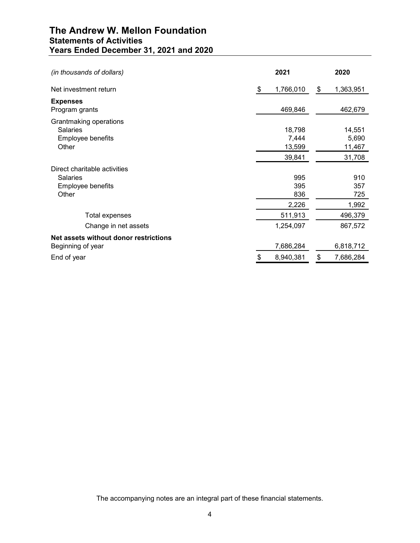# **The Andrew W. Mellon Foundation Statements of Activities Years Ended December 31, 2021 and 2020**

| (in thousands of dollars)                                                     | 2021                                | 2020                                |
|-------------------------------------------------------------------------------|-------------------------------------|-------------------------------------|
| Net investment return                                                         | 1,766,010<br>\$                     | \$<br>1,363,951                     |
| <b>Expenses</b><br>Program grants                                             | 469,846                             | 462,679                             |
| Grantmaking operations<br><b>Salaries</b><br>Employee benefits<br>Other       | 18,798<br>7,444<br>13,599<br>39,841 | 14,551<br>5,690<br>11,467<br>31,708 |
| Direct charitable activities<br><b>Salaries</b><br>Employee benefits<br>Other | 995<br>395<br>836                   | 910<br>357<br>725                   |
| Total expenses                                                                | 2,226<br>511,913                    | 1,992<br>496,379                    |
| Change in net assets                                                          | 1,254,097                           | 867,572                             |
| Net assets without donor restrictions<br>Beginning of year                    | 7,686,284                           | 6,818,712                           |
| End of year                                                                   | 8,940,381<br>\$                     | \$<br>7,686,284                     |

The accompanying notes are an integral part of these financial statements.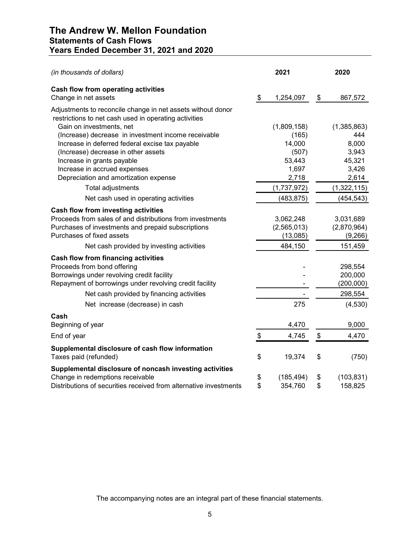| (in thousands of dollars)                                                                                            | 2021             | 2020             |
|----------------------------------------------------------------------------------------------------------------------|------------------|------------------|
| Cash flow from operating activities<br>Change in net assets                                                          | \$<br>1,254,097  | \$<br>867,572    |
| Adjustments to reconcile change in net assets without donor<br>restrictions to net cash used in operating activities |                  |                  |
| Gain on investments, net                                                                                             | (1,809,158)      | (1,385,863)      |
| (Increase) decrease in investment income receivable                                                                  | (165)            | 444              |
| Increase in deferred federal excise tax payable                                                                      | 14,000           | 8,000            |
| (Increase) decrease in other assets                                                                                  | (507)            | 3,943            |
| Increase in grants payable                                                                                           | 53,443           | 45,321           |
| Increase in accrued expenses                                                                                         | 1,697            | 3,426            |
| Depreciation and amortization expense                                                                                | 2,718            | 2,614            |
| Total adjustments                                                                                                    | (1,737,972)      | (1,322,115)      |
| Net cash used in operating activities                                                                                | (483, 875)       | (454, 543)       |
| Cash flow from investing activities                                                                                  |                  |                  |
| Proceeds from sales of and distributions from investments                                                            | 3,062,248        | 3,031,689        |
| Purchases of investments and prepaid subscriptions                                                                   | (2,565,013)      | (2,870,964)      |
| Purchases of fixed assets                                                                                            | (13,085)         | (9,266)          |
| Net cash provided by investing activities                                                                            | 484,150          | 151,459          |
| <b>Cash flow from financing activities</b>                                                                           |                  |                  |
| Proceeds from bond offering                                                                                          |                  | 298,554          |
| Borrowings under revolving credit facility                                                                           |                  | 200,000          |
| Repayment of borrowings under revolving credit facility                                                              |                  | (200, 000)       |
| Net cash provided by financing activities                                                                            |                  | 298,554          |
| Net increase (decrease) in cash                                                                                      | 275              | (4,530)          |
| Cash                                                                                                                 |                  |                  |
| Beginning of year                                                                                                    | 4,470            | 9,000            |
| End of year                                                                                                          | \$<br>4,745      | \$<br>4,470      |
| Supplemental disclosure of cash flow information                                                                     |                  |                  |
| Taxes paid (refunded)                                                                                                | \$<br>19,374     | \$<br>(750)      |
| Supplemental disclosure of noncash investing activities                                                              |                  |                  |
| Change in redemptions receivable                                                                                     | \$<br>(185, 494) | \$<br>(103, 831) |
| Distributions of securities received from alternative investments                                                    | \$<br>354,760    | \$<br>158,825    |

The accompanying notes are an integral part of these financial statements.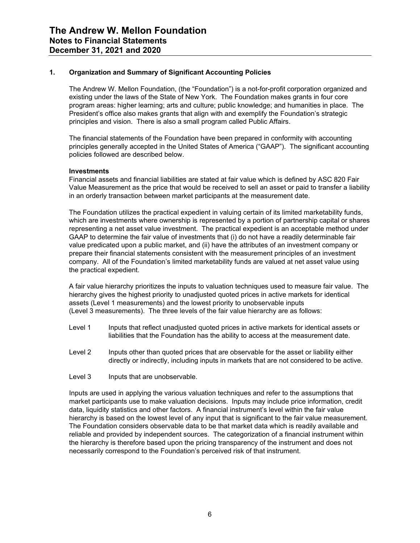## **1. Organization and Summary of Significant Accounting Policies**

The Andrew W. Mellon Foundation, (the "Foundation") is a not-for-profit corporation organized and existing under the laws of the State of New York. The Foundation makes grants in four core program areas: higher learning; arts and culture; public knowledge; and humanities in place. The President's office also makes grants that align with and exemplify the Foundation's strategic principles and vision. There is also a small program called Public Affairs.

The financial statements of the Foundation have been prepared in conformity with accounting principles generally accepted in the United States of America ("GAAP"). The significant accounting policies followed are described below.

#### **Investments**

Financial assets and financial liabilities are stated at fair value which is defined by ASC 820 Fair Value Measurement as the price that would be received to sell an asset or paid to transfer a liability in an orderly transaction between market participants at the measurement date.

The Foundation utilizes the practical expedient in valuing certain of its limited marketability funds, which are investments where ownership is represented by a portion of partnership capital or shares representing a net asset value investment. The practical expedient is an acceptable method under GAAP to determine the fair value of investments that (i) do not have a readily determinable fair value predicated upon a public market, and (ii) have the attributes of an investment company or prepare their financial statements consistent with the measurement principles of an investment company. All of the Foundation's limited marketability funds are valued at net asset value using the practical expedient.

A fair value hierarchy prioritizes the inputs to valuation techniques used to measure fair value. The hierarchy gives the highest priority to unadjusted quoted prices in active markets for identical assets (Level 1 measurements) and the lowest priority to unobservable inputs (Level 3 measurements). The three levels of the fair value hierarchy are as follows:

- Level 1 Inputs that reflect unadjusted quoted prices in active markets for identical assets or liabilities that the Foundation has the ability to access at the measurement date.
- Level 2 Inputs other than quoted prices that are observable for the asset or liability either directly or indirectly, including inputs in markets that are not considered to be active.
- Level 3 Inputs that are unobservable.

Inputs are used in applying the various valuation techniques and refer to the assumptions that market participants use to make valuation decisions. Inputs may include price information, credit data, liquidity statistics and other factors. A financial instrument's level within the fair value hierarchy is based on the lowest level of any input that is significant to the fair value measurement. The Foundation considers observable data to be that market data which is readily available and reliable and provided by independent sources. The categorization of a financial instrument within the hierarchy is therefore based upon the pricing transparency of the instrument and does not necessarily correspond to the Foundation's perceived risk of that instrument.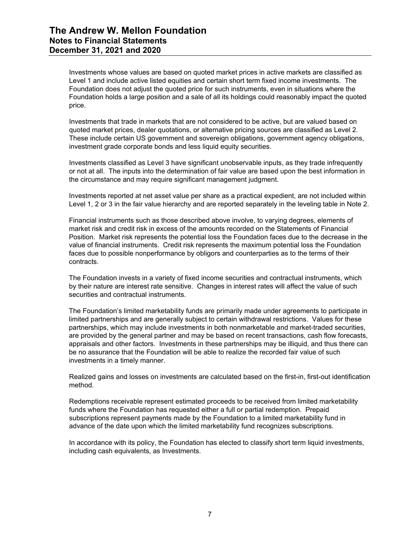Investments whose values are based on quoted market prices in active markets are classified as Level 1 and include active listed equities and certain short term fixed income investments. The Foundation does not adjust the quoted price for such instruments, even in situations where the Foundation holds a large position and a sale of all its holdings could reasonably impact the quoted price.

Investments that trade in markets that are not considered to be active, but are valued based on quoted market prices, dealer quotations, or alternative pricing sources are classified as Level 2. These include certain US government and sovereign obligations, government agency obligations, investment grade corporate bonds and less liquid equity securities.

Investments classified as Level 3 have significant unobservable inputs, as they trade infrequently or not at all. The inputs into the determination of fair value are based upon the best information in the circumstance and may require significant management judgment.

Investments reported at net asset value per share as a practical expedient, are not included within Level 1, 2 or 3 in the fair value hierarchy and are reported separately in the leveling table in Note 2.

Financial instruments such as those described above involve, to varying degrees, elements of market risk and credit risk in excess of the amounts recorded on the Statements of Financial Position. Market risk represents the potential loss the Foundation faces due to the decrease in the value of financial instruments. Credit risk represents the maximum potential loss the Foundation faces due to possible nonperformance by obligors and counterparties as to the terms of their contracts.

The Foundation invests in a variety of fixed income securities and contractual instruments, which by their nature are interest rate sensitive. Changes in interest rates will affect the value of such securities and contractual instruments.

The Foundation's limited marketability funds are primarily made under agreements to participate in limited partnerships and are generally subject to certain withdrawal restrictions. Values for these partnerships, which may include investments in both nonmarketable and market-traded securities, are provided by the general partner and may be based on recent transactions, cash flow forecasts, appraisals and other factors. Investments in these partnerships may be illiquid, and thus there can be no assurance that the Foundation will be able to realize the recorded fair value of such investments in a timely manner.

Realized gains and losses on investments are calculated based on the first-in, first-out identification method.

Redemptions receivable represent estimated proceeds to be received from limited marketability funds where the Foundation has requested either a full or partial redemption. Prepaid subscriptions represent payments made by the Foundation to a limited marketability fund in advance of the date upon which the limited marketability fund recognizes subscriptions.

In accordance with its policy, the Foundation has elected to classify short term liquid investments, including cash equivalents, as Investments.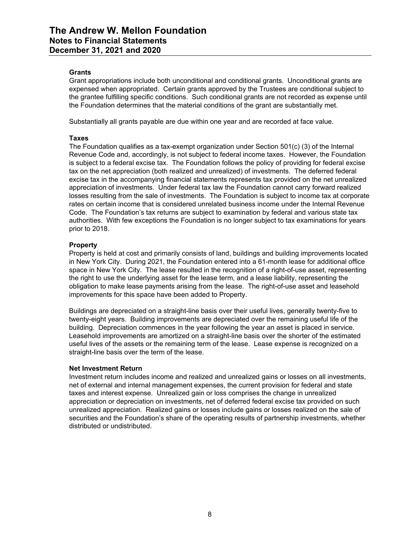# **Grants**

Grant appropriations include both unconditional and conditional grants. Unconditional grants are expensed when appropriated. Certain grants approved by the Trustees are conditional subject to the grantee fulfilling specific conditions. Such conditional grants are not recorded as expense until the Foundation determines that the material conditions of the grant are substantially met.

Substantially all grants payable are due within one year and are recorded at face value.

#### **Taxes**

The Foundation qualifies as a tax-exempt organization under Section  $501(c)$  (3) of the Internal Revenue Code and, accordingly, is not subject to federal income taxes. However, the Foundation is subject to a federal excise tax. The Foundation follows the policy of providing for federal excise tax on the net appreciation (both realized and unrealized) of investments. The deferred federal excise tax in the accompanying financial statements represents tax provided on the net unrealized appreciation of investments. Under federal tax law the Foundation cannot carry forward realized losses resulting from the sale of investments. The Foundation is subject to income tax at corporate rates on certain income that is considered unrelated business income under the Internal Revenue Code. The Foundation's tax returns are subject to examination by federal and various state tax authorities. With few exceptions the Foundation is no longer subject to tax examinations for years prior to 2018.

#### **Property**

Property is held at cost and primarily consists of land, buildings and building improvements located in New York City. During 2021, the Foundation entered into a 61-month lease for additional office space in New York City. The lease resulted in the recognition of a right-of-use asset, representing the right to use the underlying asset for the lease term, and a lease liability, representing the obligation to make lease payments arising from the lease. The right-of-use asset and leasehold improvements for this space have been added to Property.

Buildings are depreciated on a straight-line basis over their useful lives, generally twenty-five to twenty-eight years. Building improvements are depreciated over the remaining useful life of the building. Depreciation commences in the year following the year an asset is placed in service. Leasehold improvements are amortized on a straight-line basis over the shorter of the estimated useful lives of the assets or the remaining term of the lease. Lease expense is recognized on a straight-line basis over the term of the lease.

#### **Net Investment Return**

Investment return includes income and realized and unrealized gains or losses on all investments, net of external and internal management expenses, the current provision for federal and state taxes and interest expense. Unrealized gain or loss comprises the change in unrealized appreciation or depreciation on investments, net of deferred federal excise tax provided on such unrealized appreciation. Realized gains or losses include gains or losses realized on the sale of securities and the Foundation's share of the operating results of partnership investments, whether distributed or undistributed.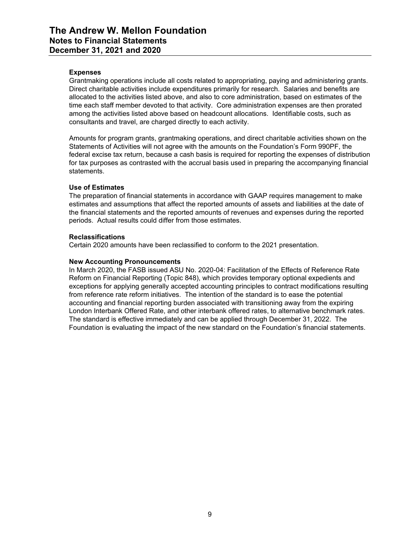## **Expenses**

Grantmaking operations include all costs related to appropriating, paying and administering grants. Direct charitable activities include expenditures primarily for research. Salaries and benefits are allocated to the activities listed above, and also to core administration, based on estimates of the time each staff member devoted to that activity. Core administration expenses are then prorated among the activities listed above based on headcount allocations. Identifiable costs, such as consultants and travel, are charged directly to each activity.

Amounts for program grants, grantmaking operations, and direct charitable activities shown on the Statements of Activities will not agree with the amounts on the Foundation's Form 990PF, the federal excise tax return, because a cash basis is required for reporting the expenses of distribution for tax purposes as contrasted with the accrual basis used in preparing the accompanying financial statements.

# **Use of Estimates**

The preparation of financial statements in accordance with GAAP requires management to make estimates and assumptions that affect the reported amounts of assets and liabilities at the date of the financial statements and the reported amounts of revenues and expenses during the reported periods. Actual results could differ from those estimates.

#### **Reclassifications**

Certain 2020 amounts have been reclassified to conform to the 2021 presentation.

#### **New Accounting Pronouncements**

In March 2020, the FASB issued ASU No. 2020-04: Facilitation of the Effects of Reference Rate Reform on Financial Reporting (Topic 848), which provides temporary optional expedients and exceptions for applying generally accepted accounting principles to contract modifications resulting from reference rate reform initiatives. The intention of the standard is to ease the potential accounting and financial reporting burden associated with transitioning away from the expiring London Interbank Offered Rate, and other interbank offered rates, to alternative benchmark rates. The standard is effective immediately and can be applied through December 31, 2022. The Foundation is evaluating the impact of the new standard on the Foundation's financial statements.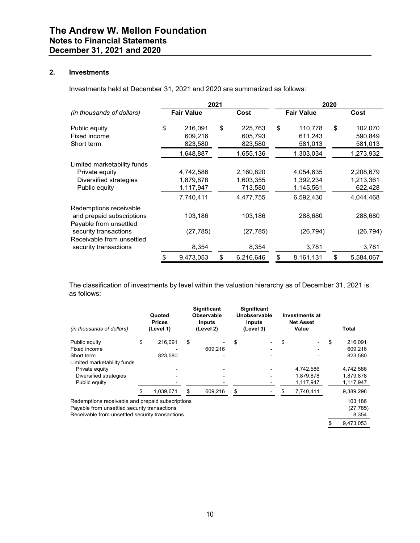# **2. Investments**

Investments held at December 31, 2021 and 2020 are summarized as follows:

|                                                                                                                                                              | 2021                                             |    | 2020                                           |    |                                                  |    |                                                |
|--------------------------------------------------------------------------------------------------------------------------------------------------------------|--------------------------------------------------|----|------------------------------------------------|----|--------------------------------------------------|----|------------------------------------------------|
| (in thousands of dollars)                                                                                                                                    | <b>Fair Value</b>                                |    | Cost                                           |    | <b>Fair Value</b>                                |    | Cost                                           |
| Public equity<br>Fixed income<br>Short term                                                                                                                  | \$<br>216,091<br>609,216<br>823,580              | \$ | 225,763<br>605,793<br>823,580                  | \$ | 110,778<br>611,243<br>581,013                    | \$ | 102,070<br>590,849<br>581,013                  |
|                                                                                                                                                              | 1,648,887                                        |    | 1,655,136                                      |    | 1,303,034                                        |    | 1,273,932                                      |
| Limited marketability funds<br>Private equity<br>Diversified strategies<br>Public equity                                                                     | 4,742,586<br>1,879,878<br>1,117,947<br>7,740,411 |    | 2,160,820<br>1,603,355<br>713,580<br>4,477,755 |    | 4,054,635<br>1,392,234<br>1,145,561<br>6,592,430 |    | 2,208,679<br>1,213,361<br>622,428<br>4,044,468 |
| Redemptions receivable<br>and prepaid subscriptions<br>Payable from unsettled<br>security transactions<br>Receivable from unsettled<br>security transactions | 103,186<br>(27, 785)<br>8,354                    |    | 103,186<br>(27, 785)<br>8,354                  |    | 288,680<br>(26, 794)<br>3,781                    |    | 288,680<br>(26, 794)<br>3,781                  |
|                                                                                                                                                              | \$<br>9,473,053                                  | \$ | 6,216,646                                      | \$ | 8,161,131                                        | \$ | 5,584,067                                      |

The classification of investments by level within the valuation hierarchy as of December 31, 2021 is as follows:

| (in thousands of dollars)                        | Quoted<br><b>Prices</b><br>(Level 1) |    | <b>Significant</b><br>Observable<br><b>Inputs</b><br>(Level 2) |    | <b>Significant</b><br>Unobservable<br>Inputs<br>(Level 3) | <b>Investments at</b><br><b>Net Asset</b><br>Value |    | Total     |
|--------------------------------------------------|--------------------------------------|----|----------------------------------------------------------------|----|-----------------------------------------------------------|----------------------------------------------------|----|-----------|
| Public equity                                    | \$<br>216.091                        | \$ |                                                                | S  |                                                           | \$                                                 | S  | 216,091   |
| Fixed income                                     |                                      |    | 609,216                                                        |    |                                                           |                                                    |    | 609,216   |
| Short term                                       | 823,580                              |    |                                                                |    |                                                           |                                                    |    | 823,580   |
| Limited marketability funds                      |                                      |    |                                                                |    |                                                           |                                                    |    |           |
| Private equity                                   |                                      |    |                                                                |    |                                                           | 4,742,586                                          |    | 4,742,586 |
| Diversified strategies                           |                                      |    |                                                                |    |                                                           | 1,879,878                                          |    | 1,879,878 |
| Public equity                                    |                                      |    |                                                                |    |                                                           | 1,117,947                                          |    | 1,117,947 |
|                                                  | 1.039.671                            | S  | 609.216                                                        | \$ |                                                           | 7,740,411                                          |    | 9,389,298 |
| Redemptions receivable and prepaid subscriptions |                                      |    |                                                                |    |                                                           |                                                    |    | 103,186   |
| Payable from unsettled security transactions     |                                      |    |                                                                |    |                                                           |                                                    |    | (27, 785) |
| Receivable from unsettled security transactions  |                                      |    |                                                                |    |                                                           |                                                    |    | 8,354     |
|                                                  |                                      |    |                                                                |    |                                                           |                                                    | \$ | 9.473.053 |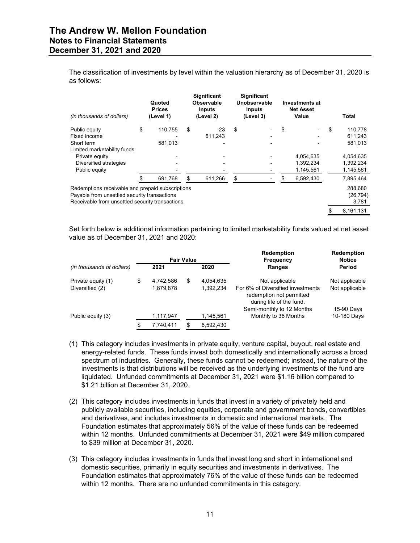The classification of investments by level within the valuation hierarchy as of December 31, 2020 is as follows:

| (in thousands of dollars)                        | Quoted<br><b>Prices</b><br>(Level 1) | <b>Significant</b><br>Observable<br><b>Inputs</b><br>(Level 2) | <b>Significant</b><br>Unobservable<br><b>Inputs</b><br>(Level 3) | Investments at<br><b>Net Asset</b><br>Value |    | Total     |
|--------------------------------------------------|--------------------------------------|----------------------------------------------------------------|------------------------------------------------------------------|---------------------------------------------|----|-----------|
| Public equity                                    | \$<br>110,755                        | \$<br>23                                                       | \$                                                               | \$                                          | \$ | 110,778   |
| Fixed income                                     |                                      | 611,243                                                        |                                                                  |                                             |    | 611,243   |
| Short term                                       | 581,013                              |                                                                |                                                                  |                                             |    | 581,013   |
| Limited marketability funds                      |                                      |                                                                |                                                                  |                                             |    |           |
| Private equity                                   |                                      |                                                                |                                                                  | 4.054.635                                   |    | 4,054,635 |
| Diversified strategies                           |                                      |                                                                |                                                                  | 1,392,234                                   |    | 1,392,234 |
| Public equity                                    |                                      |                                                                |                                                                  | 1,145,561                                   |    | 1,145,561 |
|                                                  | 691,768                              | \$<br>611,266                                                  | \$                                                               | 6,592,430                                   |    | 7,895,464 |
| Redemptions receivable and prepaid subscriptions |                                      |                                                                |                                                                  |                                             |    | 288,680   |
| Payable from unsettled security transactions     |                                      |                                                                |                                                                  |                                             |    | (26, 794) |
| Receivable from unsettled security transactions  |                                      |                                                                |                                                                  |                                             |    | 3,781     |
|                                                  |                                      |                                                                |                                                                  |                                             | S  | 8,161,131 |

Set forth below is additional information pertaining to limited marketability funds valued at net asset value as of December 31, 2021 and 2020:

|                           |                 | <b>Fair Value</b> |           | <b>Redemption</b><br><b>Frequency</b>                                                     | <b>Redemption</b><br><b>Notice</b> |
|---------------------------|-----------------|-------------------|-----------|-------------------------------------------------------------------------------------------|------------------------------------|
| (in thousands of dollars) | 2021            |                   | 2020      | Ranges                                                                                    | Period                             |
| Private equity (1)        | \$<br>4,742,586 | \$                | 4,054,635 | Not applicable                                                                            | Not applicable                     |
| Diversified (2)           | 1,879,878       |                   | 1,392,234 | For 6% of Diversified investments<br>redemption not permitted<br>during life of the fund. | Not applicable                     |
|                           |                 |                   |           | Semi-monthly to 12 Months                                                                 | 15-90 Days                         |
| Public equity (3)         | 1,117,947       |                   | 1,145,561 | Monthly to 36 Months                                                                      | 10-180 Days                        |
|                           | \$<br>7.740.411 | \$                | 6.592.430 |                                                                                           |                                    |

- (1) This category includes investments in private equity, venture capital, buyout, real estate and energy-related funds. These funds invest both domestically and internationally across a broad spectrum of industries. Generally, these funds cannot be redeemed; instead, the nature of the investments is that distributions will be received as the underlying investments of the fund are liquidated. Unfunded commitments at December 31, 2021 were \$1.16 billion compared to \$1.21 billion at December 31, 2020.
- (2) This category includes investments in funds that invest in a variety of privately held and publicly available securities, including equities, corporate and government bonds, convertibles and derivatives, and includes investments in domestic and international markets. The Foundation estimates that approximately 56% of the value of these funds can be redeemed within 12 months. Unfunded commitments at December 31, 2021 were \$49 million compared to \$39 million at December 31, 2020.
- (3) This category includes investments in funds that invest long and short in international and domestic securities, primarily in equity securities and investments in derivatives. The Foundation estimates that approximately 76% of the value of these funds can be redeemed within 12 months. There are no unfunded commitments in this category.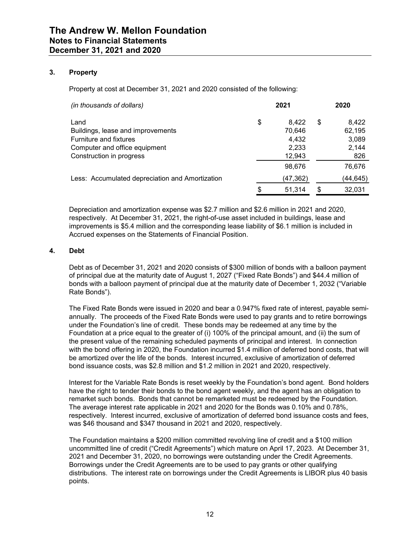# **3. Property**

Property at cost at December 31, 2021 and 2020 consisted of the following:

| (in thousands of dollars)                                                                                                        | 2021                                              | 2020                                           |
|----------------------------------------------------------------------------------------------------------------------------------|---------------------------------------------------|------------------------------------------------|
| Land<br>Buildings, lease and improvements<br>Furniture and fixtures<br>Computer and office equipment<br>Construction in progress | \$<br>8.422<br>70.646<br>4,432<br>2,233<br>12,943 | \$<br>8,422<br>62,195<br>3,089<br>2,144<br>826 |
| Less: Accumulated depreciation and Amortization                                                                                  | 98,676<br>(47,362)                                | 76.676<br>(44,645)                             |
|                                                                                                                                  | \$<br>51,314                                      | \$<br>32,031                                   |

Depreciation and amortization expense was \$2.7 million and \$2.6 million in 2021 and 2020, respectively. At December 31, 2021, the right-of-use asset included in buildings, lease and improvements is \$5.4 million and the corresponding lease liability of \$6.1 million is included in Accrued expenses on the Statements of Financial Position.

#### **4. Debt**

Debt as of December 31, 2021 and 2020 consists of \$300 million of bonds with a balloon payment of principal due at the maturity date of August 1, 2027 ("Fixed Rate Bonds") and \$44.4 million of bonds with a balloon payment of principal due at the maturity date of December 1, 2032 ("Variable Rate Bonds").

The Fixed Rate Bonds were issued in 2020 and bear a 0.947% fixed rate of interest, payable semiannually. The proceeds of the Fixed Rate Bonds were used to pay grants and to retire borrowings under the Foundation's line of credit. These bonds may be redeemed at any time by the Foundation at a price equal to the greater of (i) 100% of the principal amount, and (ii) the sum of the present value of the remaining scheduled payments of principal and interest. In connection with the bond offering in 2020, the Foundation incurred \$1.4 million of deferred bond costs, that will be amortized over the life of the bonds. Interest incurred, exclusive of amortization of deferred bond issuance costs, was \$2.8 million and \$1.2 million in 2021 and 2020, respectively.

Interest for the Variable Rate Bonds is reset weekly by the Foundation's bond agent. Bond holders have the right to tender their bonds to the bond agent weekly, and the agent has an obligation to remarket such bonds. Bonds that cannot be remarketed must be redeemed by the Foundation. The average interest rate applicable in 2021 and 2020 for the Bonds was 0.10% and 0.78%, respectively. Interest incurred, exclusive of amortization of deferred bond issuance costs and fees, was \$46 thousand and \$347 thousand in 2021 and 2020, respectively.

The Foundation maintains a \$200 million committed revolving line of credit and a \$100 million uncommitted line of credit ("Credit Agreements") which mature on April 17, 2023. At December 31, 2021 and December 31, 2020, no borrowings were outstanding under the Credit Agreements. Borrowings under the Credit Agreements are to be used to pay grants or other qualifying distributions. The interest rate on borrowings under the Credit Agreements is LIBOR plus 40 basis points.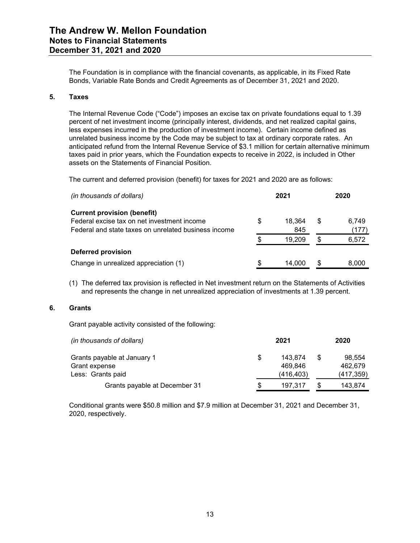The Foundation is in compliance with the financial covenants, as applicable, in its Fixed Rate Bonds, Variable Rate Bonds and Credit Agreements as of December 31, 2021 and 2020.

## **5. Taxes**

The Internal Revenue Code ("Code") imposes an excise tax on private foundations equal to 1.39 percent of net investment income (principally interest, dividends, and net realized capital gains, less expenses incurred in the production of investment income). Certain income defined as unrelated business income by the Code may be subject to tax at ordinary corporate rates. An anticipated refund from the Internal Revenue Service of \$3.1 million for certain alternative minimum taxes paid in prior years, which the Foundation expects to receive in 2022, is included in Other assets on the Statements of Financial Position.

The current and deferred provision (benefit) for taxes for 2021 and 2020 are as follows:

| (in thousands of dollars)                            |    | 2021   |    | 2020  |
|------------------------------------------------------|----|--------|----|-------|
| <b>Current provision (benefit)</b>                   |    |        |    |       |
| Federal excise tax on net investment income          | S  | 18.364 | S  | 6,749 |
| Federal and state taxes on unrelated business income |    | 845    |    | (177) |
|                                                      | S. | 19.209 | \$ | 6,572 |
| Deferred provision                                   |    |        |    |       |
| Change in unrealized appreciation (1)                | S. | 14.000 | \$ | 8.000 |

(1) The deferred tax provision is reflected in Net investment return on the Statements of Activities and represents the change in net unrealized appreciation of investments at 1.39 percent.

# **6. Grants**

Grant payable activity consisted of the following:

| (in thousands of dollars)     |   | 2021       |     | 2020       |
|-------------------------------|---|------------|-----|------------|
| Grants payable at January 1   | S | 143.874    | \$. | 98.554     |
| Grant expense                 |   | 469.846    |     | 462.679    |
| Less: Grants paid             |   | (416, 403) |     | (417, 359) |
| Grants payable at December 31 | S | 197.317    |     | 143,874    |

Conditional grants were \$50.8 million and \$7.9 million at December 31, 2021 and December 31, 2020, respectively.